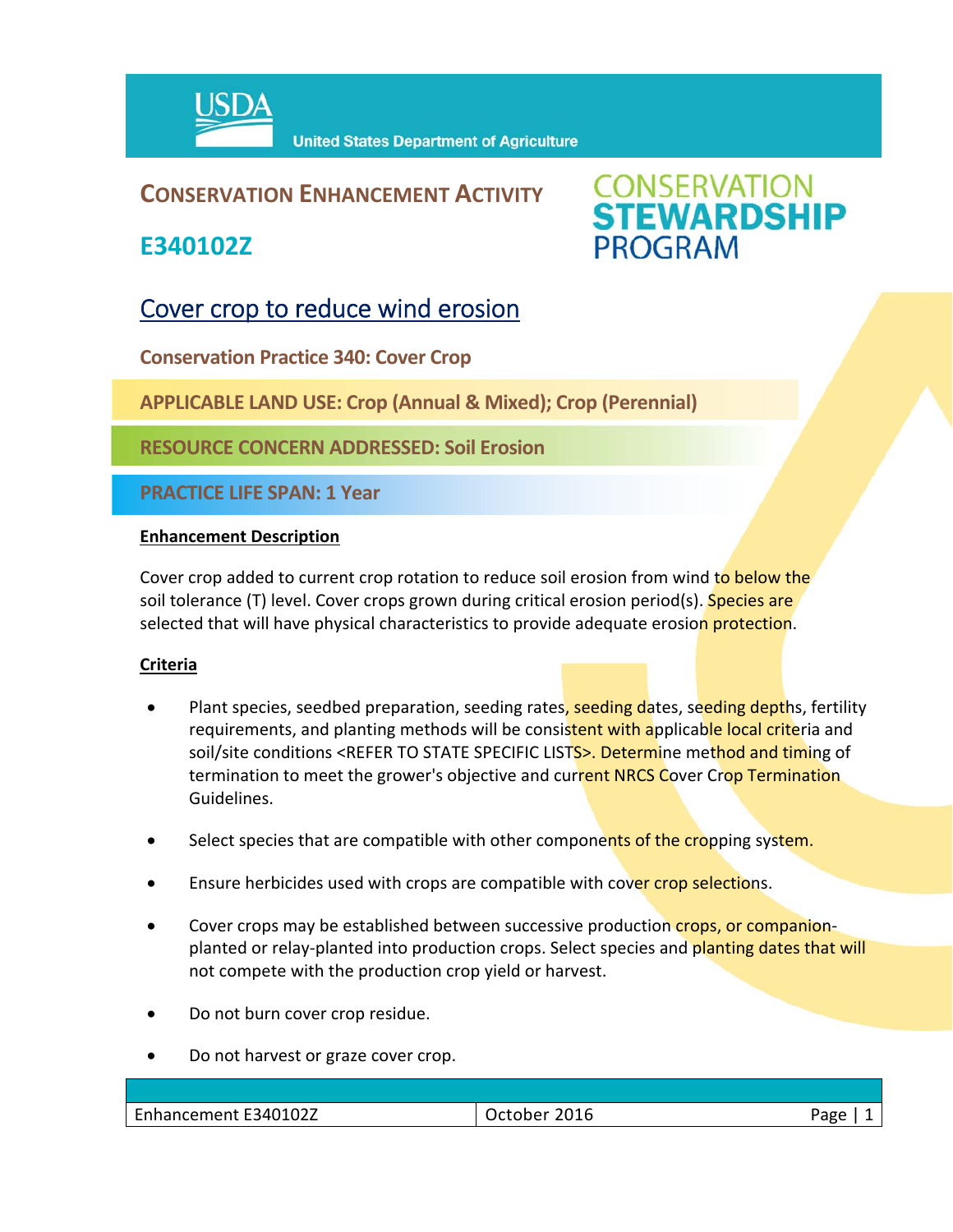

## **CONSERVATION ENHANCEMENT ACTIVITY**

**E340102Z**



# Cover crop to reduce wind erosion

**Conservation Practice 340: Cover Crop**

**APPLICABLE LAND USE: Crop (Annual & Mixed); Crop (Perennial)**

**RESOURCE CONCERN ADDRESSED: Soil Erosion**

**PRACTICE LIFE SPAN: 1 Year**

#### **Enhancement Description**

Cover crop added to current crop rotation to reduce soil erosion from wind to below the soil tolerance (T) level. Cover crops grown during critical erosion period(s). **Species are** selected that will have physical characteristics to provide adequate erosion protection.

#### **Criteria**

- Plant species, seedbed preparation, seeding rates, seeding dates, seeding depths, fertility requirements, and planting methods will be consistent with applicable local criteria and soil/site conditions <REFER TO STATE SPECIFIC LISTS>. Determine method and timing of termination to meet the grower's objective and current NRCS Cover Crop Termination Guidelines.
- Select species that are compatible with other components of the cropping system.
- Ensure herbicides used with crops are compatible with cover crop selections.
- Cover crops may be established between successive production crops, or companionplanted or relay-planted into production crops. Select species and planting dates that will not compete with the production crop yield or harvest.
- Do not burn cover crop residue.
- Do not harvest or graze cover crop.

| Enhancement E340102Z | 2016<br><b>Schoppe</b><br>ictonei | Page |
|----------------------|-----------------------------------|------|